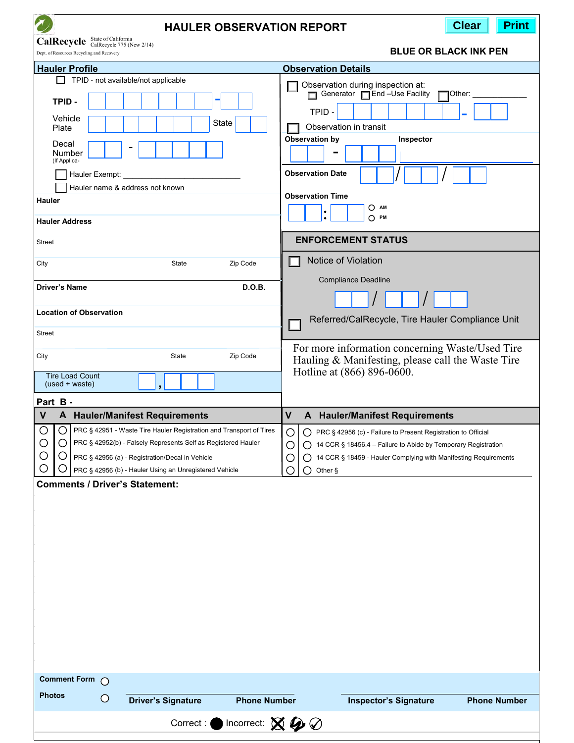| <b>Print</b><br><b>Clear</b><br><b>HAULER OBSERVATION REPORT</b>                                                                                                                                                                                                                                                                                                                                                                                                                                                                                                                                                  |                                                                                                                                                                                                                                                                                                                                                                                                                                                                                                                   |
|-------------------------------------------------------------------------------------------------------------------------------------------------------------------------------------------------------------------------------------------------------------------------------------------------------------------------------------------------------------------------------------------------------------------------------------------------------------------------------------------------------------------------------------------------------------------------------------------------------------------|-------------------------------------------------------------------------------------------------------------------------------------------------------------------------------------------------------------------------------------------------------------------------------------------------------------------------------------------------------------------------------------------------------------------------------------------------------------------------------------------------------------------|
| CalRecycle State of California<br>CalRecycle 775 (New 2/14)<br>Dept. of Resources Recycling and Recovery                                                                                                                                                                                                                                                                                                                                                                                                                                                                                                          | <b>BLUE OR BLACK INK PEN</b>                                                                                                                                                                                                                                                                                                                                                                                                                                                                                      |
|                                                                                                                                                                                                                                                                                                                                                                                                                                                                                                                                                                                                                   |                                                                                                                                                                                                                                                                                                                                                                                                                                                                                                                   |
| <b>Hauler Profile</b><br>TPID - not available/not applicable<br>TPID-<br>Vehicle<br>State<br>Plate<br>Decal<br>Number<br>(If Applica-<br>Hauler Exempt:<br>Hauler name & address not known<br>Hauler<br><b>Hauler Address</b><br><b>Street</b><br>State<br>Zip Code<br>City<br><b>D.O.B.</b><br><b>Driver's Name</b><br><b>Location of Observation</b><br><b>Street</b><br>City<br>State<br>Zip Code                                                                                                                                                                                                              | <b>Observation Details</b><br>Observation during inspection at:<br>Generator <b>Figure</b> -Use Facility<br>Other:<br>TPID -<br>Observation in transit<br>Observation by<br>Inspector<br><b>Observation Date</b><br><b>Observation Time</b><br>ОАм<br>$\bigcirc$ PM<br><b>ENFORCEMENT STATUS</b><br>Notice of Violation<br><b>Compliance Deadline</b><br>Referred/CalRecycle, Tire Hauler Compliance Unit<br>For more information concerning Waste/Used Tire<br>Hauling & Manifesting, please call the Waste Tire |
| <b>Tire Load Count</b><br>$(used + waste)$                                                                                                                                                                                                                                                                                                                                                                                                                                                                                                                                                                        | Hotline at (866) 896-0600.                                                                                                                                                                                                                                                                                                                                                                                                                                                                                        |
| Part B-                                                                                                                                                                                                                                                                                                                                                                                                                                                                                                                                                                                                           |                                                                                                                                                                                                                                                                                                                                                                                                                                                                                                                   |
| V<br>A Hauler/Manifest Requirements                                                                                                                                                                                                                                                                                                                                                                                                                                                                                                                                                                               | $\mathsf{V}$<br>A Hauler/Manifest Requirements                                                                                                                                                                                                                                                                                                                                                                                                                                                                    |
| $\bigcirc$<br>◯<br><b>PRC § 42951 - Waste Tire Hauler Registration and Transport of Tires</b><br>О<br>◯ PRC § 42956 (c) - Failure to Present Registration to Official<br>$\bigcirc$<br>$\bigcirc$<br>PRC § 42952(b) - Falsely Represents Self as Registered Hauler<br>O<br>◯ 14 CCR § 18456.4 – Failure to Abide by Temporary Registration<br>С<br>O<br>14 CCR § 18459 - Hauler Complying with Manifesting Requirements<br>PRC § 42956 (a) - Registration/Decal in Vehicle<br>O<br>C<br>O<br>PRC § 42956 (b) - Hauler Using an Unregistered Vehicle<br>О<br>O<br>Other §<br><b>Comments / Driver's Statement:</b> |                                                                                                                                                                                                                                                                                                                                                                                                                                                                                                                   |
| <b>Comment Form</b><br>$\bigcap$                                                                                                                                                                                                                                                                                                                                                                                                                                                                                                                                                                                  |                                                                                                                                                                                                                                                                                                                                                                                                                                                                                                                   |
| <b>Photos</b><br>$\circ$<br><b>Driver's Signature</b><br><b>Phone Number</b>                                                                                                                                                                                                                                                                                                                                                                                                                                                                                                                                      | <b>Phone Number</b><br><b>Inspector's Signature</b>                                                                                                                                                                                                                                                                                                                                                                                                                                                               |
| Incorrect: $\boxtimes \!\!\!\!\!\!\!/\,\, \mathcal{Q} \!\!\!\!\!\!/\,\, \mathcal{Q}$<br>Correct:<br>D                                                                                                                                                                                                                                                                                                                                                                                                                                                                                                             |                                                                                                                                                                                                                                                                                                                                                                                                                                                                                                                   |